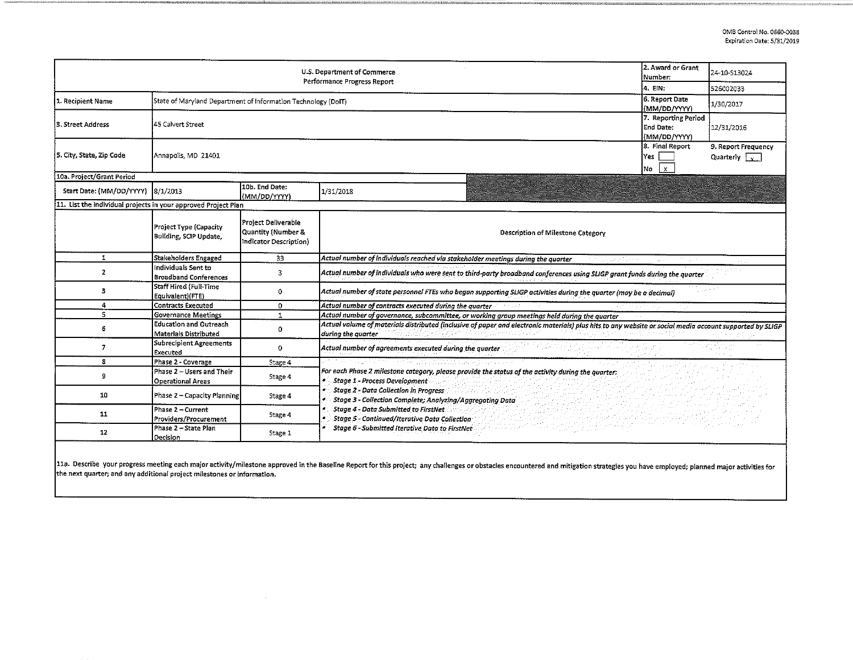|                                                                |                                                               |                                                                            | U.S. Department of Commerce<br>Performance Progress Report                                                                                                                     | 2. Award or Grant<br>Number:                     | 24-10-S13024                                |
|----------------------------------------------------------------|---------------------------------------------------------------|----------------------------------------------------------------------------|--------------------------------------------------------------------------------------------------------------------------------------------------------------------------------|--------------------------------------------------|---------------------------------------------|
|                                                                |                                                               |                                                                            |                                                                                                                                                                                | 4. EIN:                                          | 526002033                                   |
| 1. Recipient Name                                              | State of Maryland Department of Information Technology (DoIT) |                                                                            |                                                                                                                                                                                | 6. Report Date<br>(MM/DD/YYYY)                   | 1/30/2017                                   |
| 3. Street Address                                              | 45 Calvert Street                                             |                                                                            |                                                                                                                                                                                | 7. Reporting Period<br>End Date:<br>(MM/DD/YYYY) | 12/31/2016                                  |
| 5. City, State, Zip Code                                       | Annapolis, MD 21401                                           |                                                                            |                                                                                                                                                                                | 8. Final Report<br>lYes l<br> No<br>l x          | 9. Report Frequency<br>Quarterly $\sqrt{v}$ |
| 10a. Project/Grant Period                                      |                                                               |                                                                            |                                                                                                                                                                                |                                                  |                                             |
| Start Date: (MM/DD/YYYY) 8/1/2013                              |                                                               | 10b. End Date:<br>(MM/DD/YYYY)                                             | 1/31/2018                                                                                                                                                                      |                                                  |                                             |
| 11. List the individual projects in your approved Project Plan |                                                               |                                                                            |                                                                                                                                                                                |                                                  |                                             |
|                                                                | Project Type (Capacity<br>Building, SCIP Update,              | <b>Project Deliverable</b><br>Quantity (Number &<br>Indicator Description) | Description of Milestone Category                                                                                                                                              |                                                  |                                             |
| 1                                                              | Stakeholders Engaged                                          | 33                                                                         | Actual number of individuals reached via stakeholder meetings during the quarter<br>at classication business.                                                                  |                                                  |                                             |
| $\mathbf{z}$                                                   | Individuals Sent to<br><b>Broadband Conferences</b>           | 3                                                                          | Actual number of individuals who were sent to third-party broadband conferences using SLIGP grant funds during the quarter                                                     |                                                  |                                             |
| 3                                                              | Staff Hired (Full-Time<br>Equivalent)(FTE)                    | 0                                                                          | Actual number of state personnel FTEs who began supporting SLIGP activities during the quarter (may be a decimal)                                                              |                                                  |                                             |
| 4                                                              | Contracts Executed                                            | 0                                                                          | Actual number of contracts executed during the quarter                                                                                                                         |                                                  |                                             |
| 5                                                              | Governance Meetings                                           | $\mathbf{1}$                                                               | Actual number of governance, subcommittee, or working group meetings held during the quarter                                                                                   |                                                  |                                             |
| 6                                                              | <b>Education and Outreach</b><br>Materials Distributed        | 0                                                                          | Actual volume of materials distributed (inclusive of paper and electronic materials) plus hits to any website or social media account supported by SLIGP<br>ouring the quarter |                                                  |                                             |
| $\overline{7}$                                                 | Subrecipient Agreements<br>Executed                           | 0                                                                          | Actual number of agreements executed during the quarter                                                                                                                        |                                                  |                                             |
| 8                                                              | Phase 2 - Coverage                                            | Stage 4                                                                    |                                                                                                                                                                                |                                                  |                                             |
| 9                                                              | Phase 2 - Users and Their<br>Operational Areas                | Stage 4                                                                    | For each Phase 2 milestone category, please provide the status of the activity during the quarter:<br>÷.<br><b>Stage 1 - Process Development</b>                               |                                                  |                                             |
| 10                                                             | Phase 2 - Capacity Planning                                   | Stage 4                                                                    | <b>Stage 2 - Data Collection in Progress</b><br>Stage 3 - Collection Complete; Analyzing/Aggregating Data                                                                      |                                                  |                                             |
| 11                                                             | Phase 2 – Current<br>Providers/Procurement                    | Stage 4                                                                    | Stage 4 - Data Submitted to FirstNet:<br>Stage 5 - Continued/Iterative Data Collection                                                                                         |                                                  |                                             |
| 12                                                             | Phase 2 - State Plan<br>Decision                              | Stage 1                                                                    | Stage 6 - Submitted Iterative Data to FirstNet                                                                                                                                 |                                                  |                                             |

11a. Describe your progress meeting each major activity/milestone approved in the Baseline Report for this project; any challenges or obstacles encountered and mitigation strategies you have employed; planned major activit the next quarter; and any additional project milestones or information.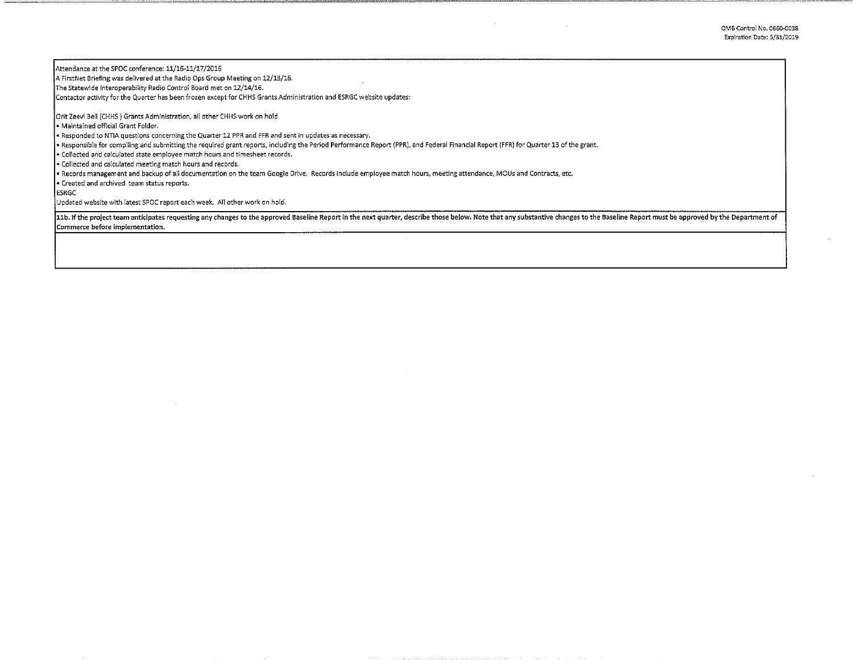0MB Control No. 0660-0038 Expiration Date: 5/31/2019

Attendance at the SPOC conference: 11/16-11/17 /2016

A FirstNet Briefing was delivered at the Radio Ops Group Meeting on 12/13/16.

The Statewide Interoperability Radio Control Board met on 12/14/16.

Contactor activity for the Quarter has been frozen except for CHHS Grants Administration and ESRGC website updates:

Orit Zeevi Bell (CHHS) Grants Administration, all other CHHS work on hold

• Maintained official Grant Folder.

• Responded to NTIA questions concerning the Quarter 12 PPR and FFR and sent in updates as necessary.

• Responsible for compiling and submitting the required grant reports, including the Period Performance Report (PPR), and Federal Financial Report (FFR) for Quarter 13 of the grant.

• Collected and calculated state employee match hours and timesheet records.

• Collected and calculated meeting match hours and records.

• Records management and backup of all documentation on the team Google Drive. Records include employee match hours, meeting attendance, MOUs and Contracts, etc.

• Created and archived team status reports.

ESRGC

Updated website with latest SPOC report each week. Alt other work on hold.

11b. If the project team anticipates requesting any changes to the approved Baseline Report in the next quarter, describe those below. Note that any substantive changes to the Baseline Report must be approved by the Depart Commerce before implementation.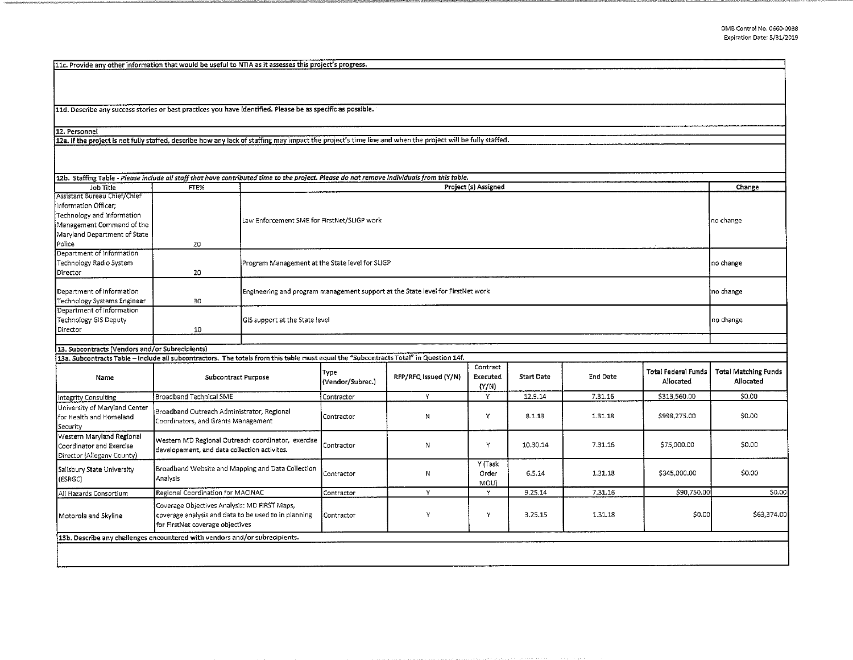11c. Provide any other information that would be useful to NTIA as it assesses this project's progress.

11d. Describe any success stories or best practices you have identified. Please be as specific as possible.

12. Personnel

12a. If the project is not fully staffed, describe how any lack of staffing may impact the project's time line and when the project will be fully staffed.

| 12b. Staffing Table - Please include all staff that have contributed time to the project. Please do not remove individuals from this table.                                              |                                                                                                                                          |  |                                                                                 |                      |                               |                   |                 |                                         |                                          |
|------------------------------------------------------------------------------------------------------------------------------------------------------------------------------------------|------------------------------------------------------------------------------------------------------------------------------------------|--|---------------------------------------------------------------------------------|----------------------|-------------------------------|-------------------|-----------------|-----------------------------------------|------------------------------------------|
| Job Title                                                                                                                                                                                | FTE%                                                                                                                                     |  | Project (s) Assigned                                                            |                      |                               |                   |                 |                                         |                                          |
| Assistant Bureau Chief/Chief<br>Information Officer;<br>Technology and Information<br>Management Command of the<br>Maryland Department of State<br> Police                               | 20                                                                                                                                       |  | Law Enforcement SME for FirstNet/SLIGP work                                     |                      |                               |                   |                 | no change                               |                                          |
| Department of Information<br>Technology Radio System<br>Director                                                                                                                         | 20                                                                                                                                       |  | Program Management at the State level for SLIGP                                 |                      |                               |                   |                 |                                         | no change                                |
| Department of Information<br>Technology Systems Engineer                                                                                                                                 | 30                                                                                                                                       |  | Engineering and program management support at the State level for FirstNet work |                      |                               |                   |                 |                                         | no change                                |
| Department of Information<br>Technology GIS Deputy<br>Director                                                                                                                           | 10                                                                                                                                       |  | GIS support at the State level                                                  |                      |                               |                   |                 |                                         | no change                                |
|                                                                                                                                                                                          |                                                                                                                                          |  |                                                                                 |                      |                               |                   |                 |                                         |                                          |
| 13. Subcontracts (Vendors and/or Subrecipients)<br>13a. Subcontracts Table - Include all subcontractors. The totals from this table must equal the "Subcontracts Total" in Question 14f. |                                                                                                                                          |  |                                                                                 |                      |                               |                   |                 |                                         |                                          |
| Name                                                                                                                                                                                     | Subcontract Purpose                                                                                                                      |  | Түре<br>(Vendor/Subrec.)                                                        | RFP/RFQ Issued (Y/N) | Contract<br>Executed<br>(Y/N) | <b>Start Date</b> | <b>End Date</b> | <b>Total Federal Funds</b><br>Allocated | <b>Total Matching Funds</b><br>Allocated |
| Integrity Consulting                                                                                                                                                                     | Broadband Technical SME                                                                                                                  |  | Contractor                                                                      | Y                    | Υ                             | 12.9.14           | 7.31.16         | \$313,560.00                            | \$0.00                                   |
| University of Maryland Center<br>for Health and Homeland<br>Security                                                                                                                     | Broadband Outreach Administrator, Regional<br>Coordinators, and Grants Management                                                        |  | Contractor                                                                      | N                    | Y                             | 8 1 1 3           | 1.31.18         | \$998,275.00                            | \$0.00                                   |
| Western Maryland Regional<br>Coordinator and Exercise<br>Director (Allegany County)                                                                                                      | Western MD Regional Outreach coordinator, exercise<br>developement, and data collection activites.                                       |  | Contractor                                                                      | Ν                    | Y                             | 10.30.14          | 7.31.16         | \$75,000.00                             | \$0.00                                   |
| Salisbury State University<br>(ESRGC)                                                                                                                                                    | Broadband Website and Mapping and Data Collection<br>Analysis                                                                            |  | Contractor                                                                      | Ν                    | Y (Task<br>Order<br>MOU)      | 6.5.14            | 1.31.18         | \$345,000.00                            | \$0.00                                   |
| All Hazards Consortium                                                                                                                                                                   | Regional Coordination for MACINAC                                                                                                        |  | Contractor                                                                      | Y                    | Y                             | 9 25 14           | 7.31.16         | \$90,750.00                             | \$0.00                                   |
| Motorola and Skyline                                                                                                                                                                     | Coverage Objectives Analysis: MD FIRST Maps,<br>coverage analysis and data to be used to in planning<br>for FirstNet coverage objectives |  | l Contractor                                                                    | Y                    | Y                             | 3.25.15           | 1.31.18         | \$0.00                                  | \$63,374.00                              |
| 13b. Describe any challenges encountered with vendors and/or subrecipients.                                                                                                              |                                                                                                                                          |  |                                                                                 |                      |                               |                   |                 |                                         |                                          |
|                                                                                                                                                                                          |                                                                                                                                          |  |                                                                                 |                      |                               |                   |                 |                                         |                                          |